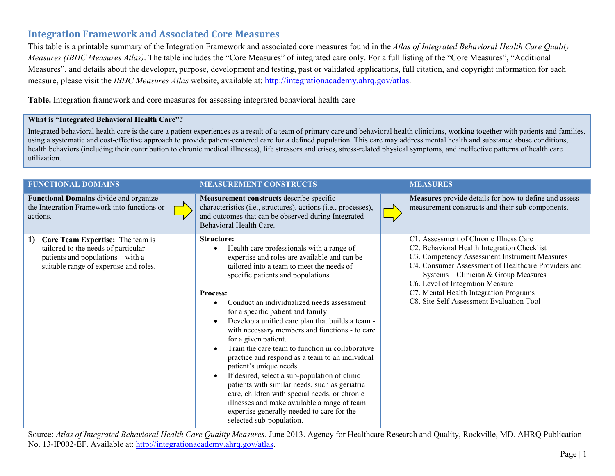## **Integration Framework and Associated Core Measures**

This table is a printable summary of the Integration Framework and associated core measures found in the *Atlas of Integrated Behavioral Health Care Quality Measures (IBHC Measures Atlas)*. The table includes the "Core Measures" of integrated care only. For a full listing of the "Core Measures", "Additional Measures", and details about the developer, purpose, development and testing, past or validated applications, full citation, and copyright information for each measure, please visit the *IBHC Measures Atlas* website, available at: [http://integrationacademy.ahrq.gov/atlas.](http://integrationacademy.ahrq.gov/atlas)

**Table.** Integration framework and core measures for assessing integrated behavioral health care

## **What is "Integrated Behavioral Health Care"?**

Integrated behavioral health care is the care a patient experiences as a result of a team of primary care and behavioral health clinicians, working together with patients and families, using a systematic and cost-effective approach to provide patient-centered care for a defined population. This care may address mental health and substance abuse conditions, health behaviors (including their contribution to chronic medical illnesses), life stressors and crises, stress-related physical symptoms, and ineffective patterns of health care utilization.

| <b>FUNCTIONAL DOMAINS</b>                                                                                                                                    | <b>MEASUREMENT CONSTRUCTS</b>                                                                                                                                                                                                                                                                                                                                                                                                                                                                                                                                                                                                                                                                                                                                                                                                                  | <b>MEASURES</b>                                                                                                                                                                                                                                                                                                                                                 |
|--------------------------------------------------------------------------------------------------------------------------------------------------------------|------------------------------------------------------------------------------------------------------------------------------------------------------------------------------------------------------------------------------------------------------------------------------------------------------------------------------------------------------------------------------------------------------------------------------------------------------------------------------------------------------------------------------------------------------------------------------------------------------------------------------------------------------------------------------------------------------------------------------------------------------------------------------------------------------------------------------------------------|-----------------------------------------------------------------------------------------------------------------------------------------------------------------------------------------------------------------------------------------------------------------------------------------------------------------------------------------------------------------|
| Functional Domains divide and organize<br>the Integration Framework into functions or<br>actions.                                                            | Measurement constructs describe specific<br>characteristics (i.e., structures), actions (i.e., processes),<br>and outcomes that can be observed during Integrated<br>Behavioral Health Care.                                                                                                                                                                                                                                                                                                                                                                                                                                                                                                                                                                                                                                                   | Measures provide details for how to define and assess<br>measurement constructs and their sub-components.                                                                                                                                                                                                                                                       |
| Care Team Expertise: The team is<br>1)<br>tailored to the needs of particular<br>patients and populations - with a<br>suitable range of expertise and roles. | <b>Structure:</b><br>Health care professionals with a range of<br>expertise and roles are available and can be<br>tailored into a team to meet the needs of<br>specific patients and populations.<br>Process:<br>Conduct an individualized needs assessment<br>for a specific patient and family<br>Develop a unified care plan that builds a team -<br>with necessary members and functions - to care<br>for a given patient.<br>Train the care team to function in collaborative<br>practice and respond as a team to an individual<br>patient's unique needs.<br>If desired, select a sub-population of clinic<br>patients with similar needs, such as geriatric<br>care, children with special needs, or chronic<br>illnesses and make available a range of team<br>expertise generally needed to care for the<br>selected sub-population. | C1. Assessment of Chronic Illness Care<br>C2. Behavioral Health Integration Checklist<br>C3. Competency Assessment Instrument Measures<br>C4. Consumer Assessment of Healthcare Providers and<br>Systems - Clinician & Group Measures<br>C6. Level of Integration Measure<br>C7. Mental Health Integration Programs<br>C8. Site Self-Assessment Evaluation Tool |

Source: *Atlas of Integrated Behavioral Health Care Quality Measures*. June 2013. Agency for Healthcare Research and Quality, Rockville, MD. AHRQ Publication No. 13-IP002-EF. Available at: http://integrationacademy.ahrq.gov/atlas.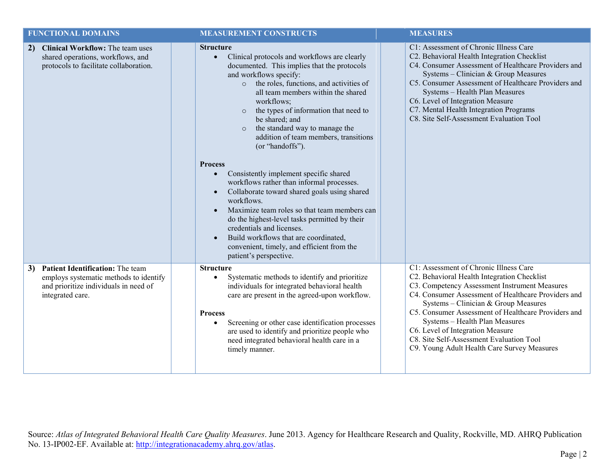| <b>FUNCTIONAL DOMAINS</b>                                                                                                                     | <b>MEASUREMENT CONSTRUCTS</b>                                                                                                                                                                                                                                                                                                                                                                                                                                                                                                                                                                                                                                                                                                                                                                                                                                                       | <b>MEASURES</b>                                                                                                                                                                                                                                                                                                                                                                                                                                               |
|-----------------------------------------------------------------------------------------------------------------------------------------------|-------------------------------------------------------------------------------------------------------------------------------------------------------------------------------------------------------------------------------------------------------------------------------------------------------------------------------------------------------------------------------------------------------------------------------------------------------------------------------------------------------------------------------------------------------------------------------------------------------------------------------------------------------------------------------------------------------------------------------------------------------------------------------------------------------------------------------------------------------------------------------------|---------------------------------------------------------------------------------------------------------------------------------------------------------------------------------------------------------------------------------------------------------------------------------------------------------------------------------------------------------------------------------------------------------------------------------------------------------------|
| Clinical Workflow: The team uses<br>2)<br>shared operations, workflows, and<br>protocols to facilitate collaboration.                         | <b>Structure</b><br>Clinical protocols and workflows are clearly<br>$\bullet$<br>documented. This implies that the protocols<br>and workflows specify:<br>the roles, functions, and activities of<br>$\circ$<br>all team members within the shared<br>workflows;<br>the types of information that need to<br>$\circ$<br>be shared; and<br>the standard way to manage the<br>$\circ$<br>addition of team members, transitions<br>(or "handoffs").<br><b>Process</b><br>Consistently implement specific shared<br>$\bullet$<br>workflows rather than informal processes.<br>Collaborate toward shared goals using shared<br>workflows.<br>Maximize team roles so that team members can<br>do the highest-level tasks permitted by their<br>credentials and licenses.<br>Build workflows that are coordinated,<br>convenient, timely, and efficient from the<br>patient's perspective. | C1: Assessment of Chronic Illness Care<br>C2. Behavioral Health Integration Checklist<br>C4. Consumer Assessment of Healthcare Providers and<br>Systems - Clinician & Group Measures<br>C5. Consumer Assessment of Healthcare Providers and<br>Systems - Health Plan Measures<br>C6. Level of Integration Measure<br>C7. Mental Health Integration Programs<br>C8. Site Self-Assessment Evaluation Tool                                                       |
| Patient Identification: The team<br>3)<br>employs systematic methods to identify<br>and prioritize individuals in need of<br>integrated care. | <b>Structure</b><br>Systematic methods to identify and prioritize<br>individuals for integrated behavioral health<br>care are present in the agreed-upon workflow.<br><b>Process</b><br>Screening or other case identification processes<br>are used to identify and prioritize people who<br>need integrated behavioral health care in a<br>timely manner.                                                                                                                                                                                                                                                                                                                                                                                                                                                                                                                         | C1: Assessment of Chronic Illness Care<br>C2. Behavioral Health Integration Checklist<br>C3. Competency Assessment Instrument Measures<br>C4. Consumer Assessment of Healthcare Providers and<br>Systems - Clinician & Group Measures<br>C5. Consumer Assessment of Healthcare Providers and<br>Systems - Health Plan Measures<br>C6. Level of Integration Measure<br>C8. Site Self-Assessment Evaluation Tool<br>C9. Young Adult Health Care Survey Measures |

Source: *Atlas of Integrated Behavioral Health Care Quality Measures*. June 2013. Agency for Healthcare Research and Quality, Rockville, MD. AHRQ Publication No. 13-IP002-EF. Available at: http://integrationacademy.ahrq.gov/atlas.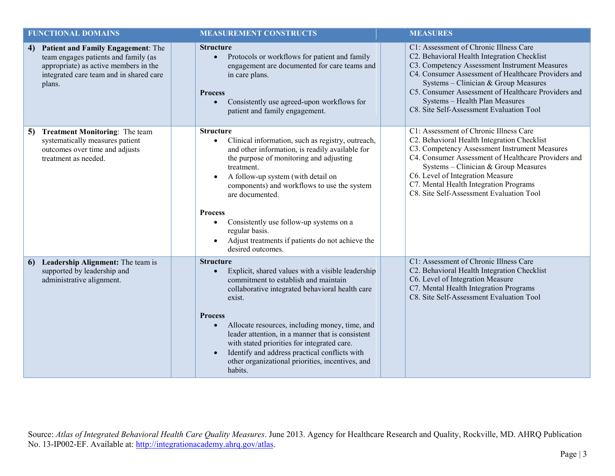| <b>FUNCTIONAL DOMAINS</b>                                                                                                                                                      | <b>MEASUREMENT CONSTRUCTS</b>                                                                                                                                                                                                                                                                                                                                                                                                                                                                            | <b>MEASURES</b>                                                                                                                                                                                                                                                                                                                                                            |
|--------------------------------------------------------------------------------------------------------------------------------------------------------------------------------|----------------------------------------------------------------------------------------------------------------------------------------------------------------------------------------------------------------------------------------------------------------------------------------------------------------------------------------------------------------------------------------------------------------------------------------------------------------------------------------------------------|----------------------------------------------------------------------------------------------------------------------------------------------------------------------------------------------------------------------------------------------------------------------------------------------------------------------------------------------------------------------------|
| Patient and Family Engagement: The<br>4)<br>team engages patients and family (as<br>appropriate) as active members in the<br>integrated care team and in shared care<br>plans. | <b>Structure</b><br>Protocols or workflows for patient and family<br>$\bullet$<br>engagement are documented for care teams and<br>in care plans.<br><b>Process</b><br>Consistently use agreed-upon workflows for<br>$\bullet$<br>patient and family engagement.                                                                                                                                                                                                                                          | C1: Assessment of Chronic Illness Care<br>C2. Behavioral Health Integration Checklist<br>C3. Competency Assessment Instrument Measures<br>C4. Consumer Assessment of Healthcare Providers and<br>Systems - Clinician & Group Measures<br>C5. Consumer Assessment of Healthcare Providers and<br>Systems - Health Plan Measures<br>C8. Site Self-Assessment Evaluation Tool |
| <b>Treatment Monitoring:</b> The team<br>5)<br>systematically measures patient<br>outcomes over time and adjusts<br>treatment as needed.                                       | <b>Structure</b><br>Clinical information, such as registry, outreach,<br>$\bullet$<br>and other information, is readily available for<br>the purpose of monitoring and adjusting<br>treatment.<br>A follow-up system (with detail on<br>$\bullet$<br>components) and workflows to use the system<br>are documented.<br><b>Process</b><br>Consistently use follow-up systems on a<br>$\bullet$<br>regular basis.<br>Adjust treatments if patients do not achieve the<br>$\bullet$<br>desired outcomes.    | C1: Assessment of Chronic Illness Care<br>C2. Behavioral Health Integration Checklist<br>C3. Competency Assessment Instrument Measures<br>C4. Consumer Assessment of Healthcare Providers and<br>Systems - Clinician & Group Measures<br>C6. Level of Integration Measure<br>C7. Mental Health Integration Programs<br>C8. Site Self-Assessment Evaluation Tool            |
| Leadership Alignment: The team is<br>6<br>supported by leadership and<br>administrative alignment.                                                                             | <b>Structure</b><br>Explicit, shared values with a visible leadership<br>$\bullet$<br>commitment to establish and maintain<br>collaborative integrated behavioral health care<br>exist.<br><b>Process</b><br>Allocate resources, including money, time, and<br>$\bullet$<br>leader attention, in a manner that is consistent<br>with stated priorities for integrated care.<br>Identify and address practical conflicts with<br>$\bullet$<br>other organizational priorities, incentives, and<br>habits. | C1: Assessment of Chronic Illness Care<br>C2. Behavioral Health Integration Checklist<br>C6. Level of Integration Measure<br>C7. Mental Health Integration Programs<br>C8. Site Self-Assessment Evaluation Tool                                                                                                                                                            |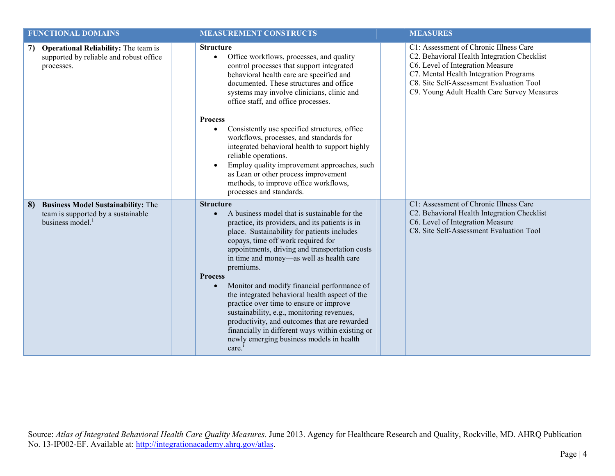| <b>FUNCTIONAL DOMAINS</b>                                                                                  | <b>MEASUREMENT CONSTRUCTS</b>                                                                                                                                                                                                                                                                                                                                                                                                                                                                                                                                                                                                                                                                         | <b>MEASURES</b>                                                                                                                                                                                                                                                |
|------------------------------------------------------------------------------------------------------------|-------------------------------------------------------------------------------------------------------------------------------------------------------------------------------------------------------------------------------------------------------------------------------------------------------------------------------------------------------------------------------------------------------------------------------------------------------------------------------------------------------------------------------------------------------------------------------------------------------------------------------------------------------------------------------------------------------|----------------------------------------------------------------------------------------------------------------------------------------------------------------------------------------------------------------------------------------------------------------|
| <b>Operational Reliability:</b> The team is<br>7)<br>supported by reliable and robust office<br>processes. | <b>Structure</b><br>Office workflows, processes, and quality<br>$\bullet$<br>control processes that support integrated<br>behavioral health care are specified and<br>documented. These structures and office<br>systems may involve clinicians, clinic and<br>office staff, and office processes.<br><b>Process</b><br>Consistently use specified structures, office<br>workflows, processes, and standards for<br>integrated behavioral health to support highly<br>reliable operations.<br>Employ quality improvement approaches, such<br>as Lean or other process improvement<br>methods, to improve office workflows,<br>processes and standards.                                                | C1: Assessment of Chronic Illness Care<br>C2. Behavioral Health Integration Checklist<br>C6. Level of Integration Measure<br>C7. Mental Health Integration Programs<br>C8. Site Self-Assessment Evaluation Tool<br>C9. Young Adult Health Care Survey Measures |
| <b>Business Model Sustainability: The</b><br>8)<br>team is supported by a sustainable<br>business model.   | <b>Structure</b><br>A business model that is sustainable for the<br>practice, its providers, and its patients is in<br>place. Sustainability for patients includes<br>copays, time off work required for<br>appointments, driving and transportation costs<br>in time and money-as well as health care<br>premiums.<br><b>Process</b><br>Monitor and modify financial performance of<br>$\bullet$<br>the integrated behavioral health aspect of the<br>practice over time to ensure or improve<br>sustainability, e.g., monitoring revenues,<br>productivity, and outcomes that are rewarded<br>financially in different ways within existing or<br>newly emerging business models in health<br>care. | C1: Assessment of Chronic Illness Care<br>C2. Behavioral Health Integration Checklist<br>C6. Level of Integration Measure<br>C8. Site Self-Assessment Evaluation Tool                                                                                          |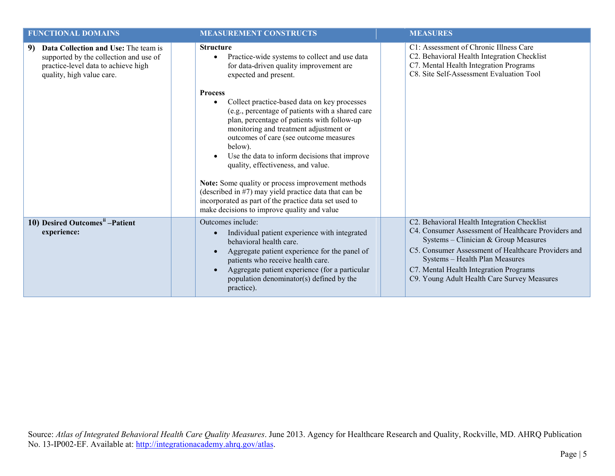| <b>FUNCTIONAL DOMAINS</b>                                                                                                                                | <b>MEASUREMENT CONSTRUCTS</b>                                                                                                                                                                                                                                                                                                                                                                                                                                                                                                                                                              | <b>MEASURES</b>                                                                                                                                                                                                                                                                                                              |
|----------------------------------------------------------------------------------------------------------------------------------------------------------|--------------------------------------------------------------------------------------------------------------------------------------------------------------------------------------------------------------------------------------------------------------------------------------------------------------------------------------------------------------------------------------------------------------------------------------------------------------------------------------------------------------------------------------------------------------------------------------------|------------------------------------------------------------------------------------------------------------------------------------------------------------------------------------------------------------------------------------------------------------------------------------------------------------------------------|
| Data Collection and Use: The team is<br>9)<br>supported by the collection and use of<br>practice-level data to achieve high<br>quality, high value care. | <b>Structure</b><br>Practice-wide systems to collect and use data<br>for data-driven quality improvement are<br>expected and present.                                                                                                                                                                                                                                                                                                                                                                                                                                                      | C1: Assessment of Chronic Illness Care<br>C2. Behavioral Health Integration Checklist<br>C7. Mental Health Integration Programs<br>C8. Site Self-Assessment Evaluation Tool                                                                                                                                                  |
|                                                                                                                                                          | <b>Process</b><br>Collect practice-based data on key processes<br>$\bullet$<br>(e.g., percentage of patients with a shared care<br>plan, percentage of patients with follow-up<br>monitoring and treatment adjustment or<br>outcomes of care (see outcome measures<br>below).<br>Use the data to inform decisions that improve<br>quality, effectiveness, and value.<br>Note: Some quality or process improvement methods<br>(described in #7) may yield practice data that can be<br>incorporated as part of the practice data set used to<br>make decisions to improve quality and value |                                                                                                                                                                                                                                                                                                                              |
| 10) Desired Outcomes <sup>ii</sup> -Patient<br>experience:                                                                                               | Outcomes include:<br>Individual patient experience with integrated<br>$\bullet$<br>behavioral health care.<br>Aggregate patient experience for the panel of<br>patients who receive health care.<br>Aggregate patient experience (for a particular<br>population denominator(s) defined by the<br>practice).                                                                                                                                                                                                                                                                               | C2. Behavioral Health Integration Checklist<br>C4. Consumer Assessment of Healthcare Providers and<br>Systems - Clinician & Group Measures<br>C5. Consumer Assessment of Healthcare Providers and<br>Systems - Health Plan Measures<br>C7. Mental Health Integration Programs<br>C9. Young Adult Health Care Survey Measures |